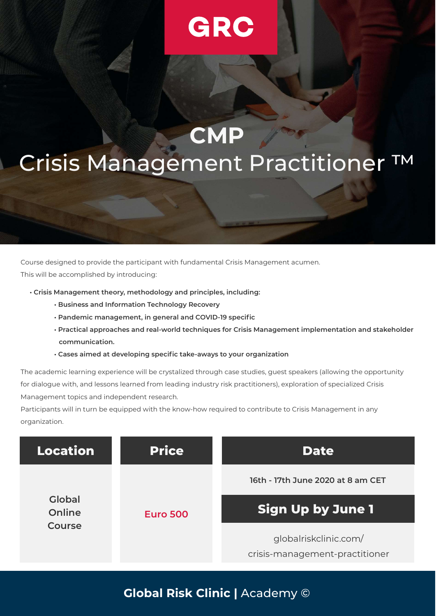# GRC

# **CMP** Crisis Management Practitioner ™

Course designed to provide the participant with fundamental Crisis Management acumen.

This will be accomplished by introducing:

- Crisis Management theory, methodology and principles, including:
	- Business and Information Technology Recovery
	- Pandemic management, in general and COVID-19 specific
	- Practical approaches and real-world techniques for Crisis Management implementation and stakeholder communication.
	- Cases aimed at developing specific take-aways to your organization

The academic learning experience will be crystalized through case studies, guest speakers (allowing the opportunity for dialogue with, and lessons learned from leading industry risk practitioners), exploration of specialized Crisis Management topics and independent research.

Participants will in turn be equipped with the know-how required to contribute to Crisis Management in any organization.



Global Risk Clinic | Academy ©